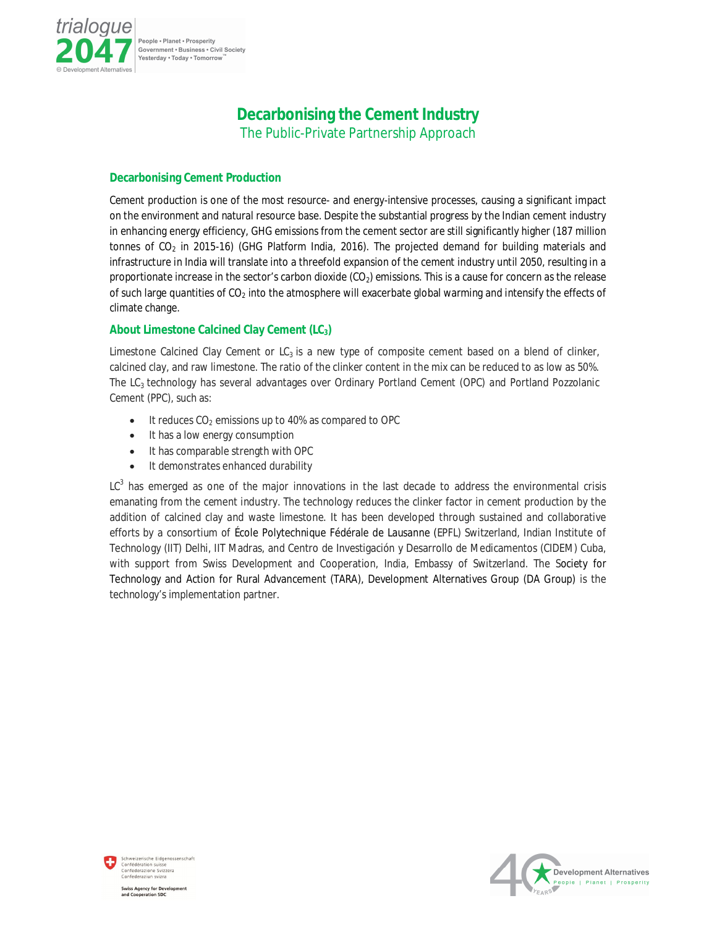

People . Planet . Prosperity Government · Business · Civil Society Yesterday . Today . Tomorrow

## **Decarbonising the Cement Industry**

The Public-Private Partnership Approach

## **Decarbonising Cement Production**

Cement production is one of the most resource- and energy-intensive processes, causing a significant impact on the environment and natural resource base. Despite the substantial progress by the Indian cement industry in enhancing energy efficiency, GHG emissions from the cement sector are still significantly higher (187 million tonnes of  $CO<sub>2</sub>$  in 2015-16) (GHG Platform India, 2016). The projected demand for building materials and infrastructure in India will translate into a threefold expansion of the cement industry until 2050, resulting in a proportionate increase in the sector's carbon dioxide  $(CO<sub>2</sub>)$  emissions. This is a cause for concern as the release of such large quantities of  $CO<sub>2</sub>$  into the atmosphere will exacerbate global warming and intensify the effects of climate change.

## **About Limestone Calcined Clay Cement (LC3)**

Limestone Calcined Clay Cement or  $LC_3$  is a new type of composite cement based on a blend of clinker, calcined clay, and raw limestone. The ratio of the clinker content in the mix can be reduced to as low as 50%. The LC<sup>3</sup> technology has several advantages over Ordinary Portland Cement (OPC) and Portland Pozzolanic Cement (PPC), such as:

- $\bullet$  It reduces CO<sub>2</sub> emissions up to 40% as compared to OPC
- It has a low energy consumption
- It has comparable strength with OPC
- It demonstrates enhanced durability

 $LC^3$  has emerged as one of the major innovations in the last decade to address the environmental crisis emanating from the cement industry. The technology reduces the clinker factor in cement production by the addition of calcined clay and waste limestone. It has been developed through sustained and collaborative efforts by a consortium of École Polytechnique Fédérale de Lausanne (EPFL) Switzerland, Indian Institute of Technology (IIT) Delhi, IIT Madras, and Centro de Investigación y Desarrollo de Medicamentos (CIDEM) Cuba, with support from Swiss Development and Cooperation, India, Embassy of Switzerland. The Society for Technology and Action for Rural Advancement (TARA), Development Alternatives Group (DA Group) is the technology's implementation partner.





**Swiss Agency for Development** and Cooperation SDC